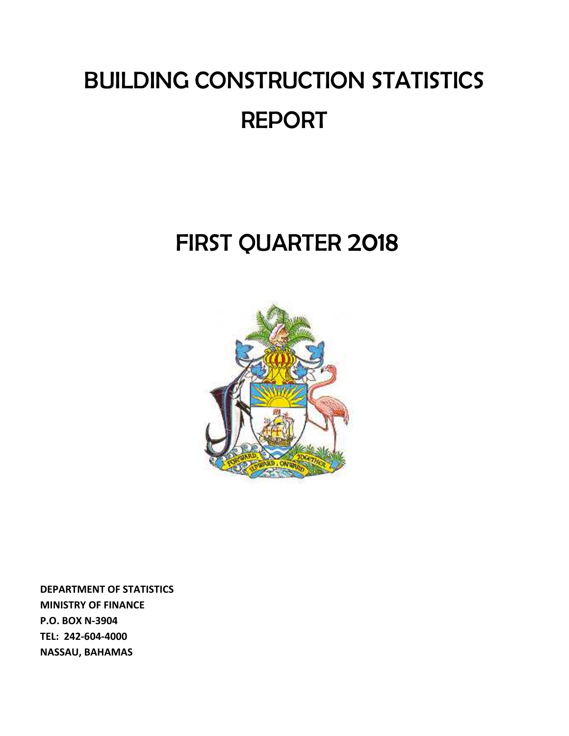# BUILDING CONSTRUCTION STATISTICS REPORT

## FIRST QUARTER 2018



**DEPARTMENT OF STATISTICS MINISTRY OF FINANCE P.O. BOX N‐3904 TEL: 242‐604‐4000 NASSAU, BAHAMAS**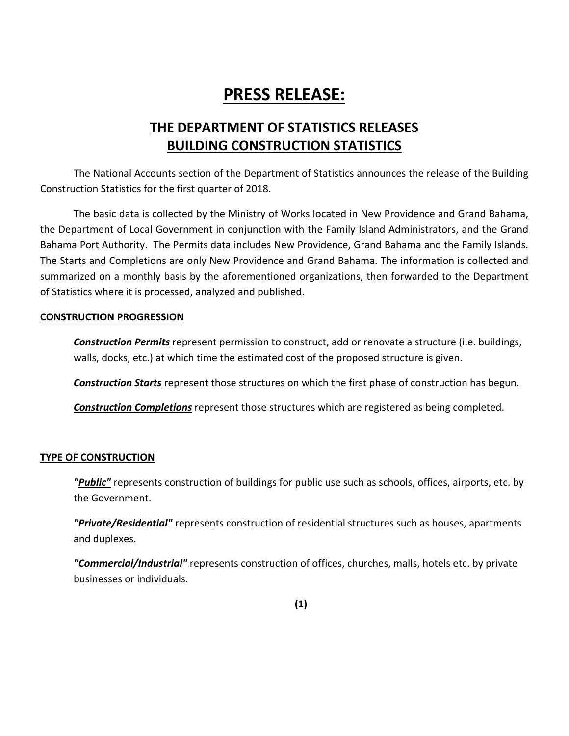### **PRESS RELEASE:**

### **THE DEPARTMENT OF STATISTICS RELEASES BUILDING CONSTRUCTION STATISTICS**

The National Accounts section of the Department of Statistics announces the release of the Building Construction Statistics for the first quarter of 2018.

The basic data is collected by the Ministry of Works located in New Providence and Grand Bahama, the Department of Local Government in conjunction with the Family Island Administrators, and the Grand Bahama Port Authority. The Permits data includes New Providence, Grand Bahama and the Family Islands. The Starts and Completions are only New Providence and Grand Bahama. The information is collected and summarized on a monthly basis by the aforementioned organizations, then forwarded to the Department of Statistics where it is processed, analyzed and published.

### **CONSTRUCTION PROGRESSION**

*Construction Permits* represent permission to construct, add or renovate a structure (i.e. buildings, walls, docks, etc.) at which time the estimated cost of the proposed structure is given.

*Construction Starts* represent those structures on which the first phase of construction has begun.

*Construction Completions* represent those structures which are registered as being completed.

### **TYPE OF CONSTRUCTION**

*"Public"* represents construction of buildings for public use such as schools, offices, airports, etc. by the Government.

*"Private/Residential"* represents construction of residential structures such as houses, apartments and duplexes.

*"Commercial/Industrial"* represents construction of offices, churches, malls, hotels etc. by private businesses or individuals.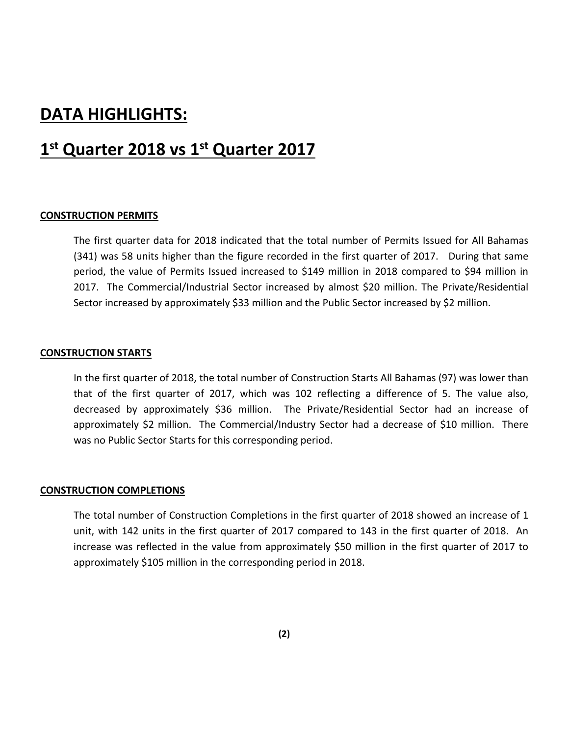### **DATA HIGHLIGHTS:**

### **1st Quarter 2018 vs 1st Quarter 2017**

### **CONSTRUCTION PERMITS**

The first quarter data for 2018 indicated that the total number of Permits Issued for All Bahamas (341) was 58 units higher than the figure recorded in the first quarter of 2017. During that same period, the value of Permits Issued increased to \$149 million in 2018 compared to \$94 million in 2017. The Commercial/Industrial Sector increased by almost \$20 million. The Private/Residential Sector increased by approximately \$33 million and the Public Sector increased by \$2 million.

### **CONSTRUCTION STARTS**

In the first quarter of 2018, the total number of Construction Starts All Bahamas (97) was lower than that of the first quarter of 2017, which was 102 reflecting a difference of 5. The value also, decreased by approximately \$36 million. The Private/Residential Sector had an increase of approximately \$2 million. The Commercial/Industry Sector had a decrease of \$10 million. There was no Public Sector Starts for this corresponding period.

#### **CONSTRUCTION COMPLETIONS**

The total number of Construction Completions in the first quarter of 2018 showed an increase of 1 unit, with 142 units in the first quarter of 2017 compared to 143 in the first quarter of 2018. An increase was reflected in the value from approximately \$50 million in the first quarter of 2017 to approximately \$105 million in the corresponding period in 2018.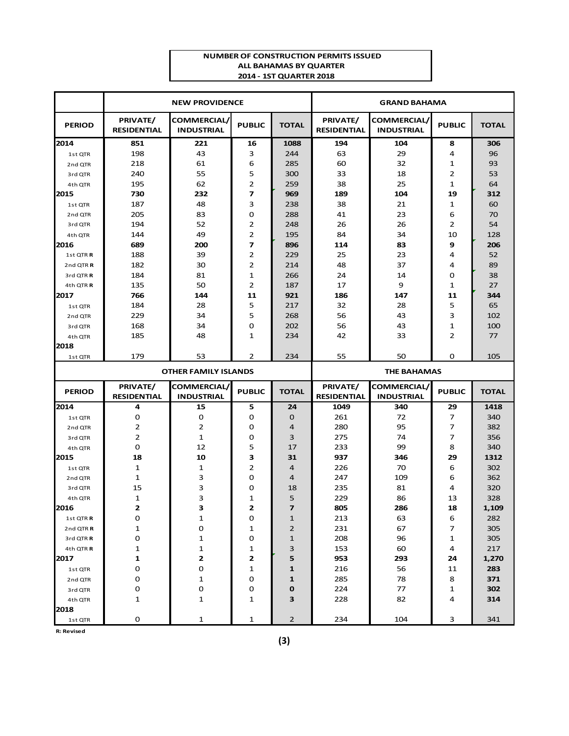#### **NUMBEROF CONSTRUCTION PERMITS ISSUED ALL BAHAMAS BY QUARTER 2014 ‐ 1STQUARTER 2018**

|                      |                                | <b>NEW PROVIDENCE</b>                   |                         |              |                                | <b>GRAND BAHAMA</b>                    |                |              |
|----------------------|--------------------------------|-----------------------------------------|-------------------------|--------------|--------------------------------|----------------------------------------|----------------|--------------|
| <b>PERIOD</b>        | PRIVATE/<br><b>RESIDENTIAL</b> | <b>COMMERCIAL/</b><br><b>INDUSTRIAL</b> | <b>PUBLIC</b>           | <b>TOTAL</b> | PRIVATE/<br><b>RESIDENTIAL</b> | <b>COMMERCIAL</b><br><b>INDUSTRIAL</b> | <b>PUBLIC</b>  | <b>TOTAL</b> |
| 2014                 | 851                            | 221                                     | 16                      | 1088         | 194                            | 104                                    | 8              | 306          |
| 1st QTR              | 198                            | 43                                      | 3                       | 244          | 63                             | 29                                     | 4              | 96           |
| 2nd QTR              | 218                            | 61                                      | 6                       | 285          | 60                             | 32                                     | $\mathbf{1}$   | 93           |
| 3rd QTR              | 240                            | 55                                      | 5                       | 300          | 33                             | 18                                     | $\overline{2}$ | 53           |
| 4th QTR              | 195                            | 62                                      | 2                       | 259          | 38                             | 25                                     | $\mathbf{1}$   | 64           |
| 2015                 | 730                            | 232                                     | $\overline{\mathbf{z}}$ | 969          | 189                            | 104                                    | 19             | 312          |
| 1st QTR              | 187                            | 48                                      | 3                       | 238          | 38                             | 21                                     | 1              | 60           |
| 2nd QTR              | 205                            | 83                                      | 0                       | 288          | 41                             | 23                                     | 6              | 70           |
| 3rd QTR              | 194                            | 52                                      | $\overline{2}$          | 248          | 26                             | 26                                     | $\overline{2}$ | 54           |
| 4th QTR              | 144                            | 49                                      | $\overline{2}$          | 195          | 84                             | 34                                     | 10             | 128          |
| 2016                 | 689                            | 200                                     | 7                       | 896          | 114                            | 83                                     | 9              | 206          |
| 1st QTR R            | 188                            | 39                                      | 2                       | 229          | 25                             | 23                                     | 4              | 52           |
| 2nd QTR <sub>R</sub> | 182                            | 30                                      | $\overline{2}$          | 214          | 48                             | 37                                     | 4              | 89           |
| 3rd QTRR             | 184                            | 81                                      | $\mathbf{1}$            | 266          | 24                             | 14                                     | $\mathbf 0$    | 38           |
| 4th QTR R            | 135                            | 50                                      | $\overline{2}$          | 187          | 17                             | 9                                      | $\mathbf{1}$   | 27           |
| 2017                 | 766                            | 144                                     | 11                      | 921          | 186                            | 147                                    | 11             | 344          |
| 1st QTR              | 184                            | 28                                      | 5                       | 217          | 32                             | 28                                     | 5              | 65           |
| 2nd QTR              | 229                            | 34                                      | 5                       | 268          | 56                             | 43                                     | 3              | 102          |
| 3rd QTR              | 168                            | 34                                      | 0                       | 202          | 56                             | 43                                     | $\mathbf{1}$   | 100          |
| 4th QTR              | 185                            | 48                                      | 1                       | 234          | 42                             | 33                                     | $\overline{2}$ | 77           |
| 2018                 |                                |                                         |                         |              |                                |                                        |                |              |
| 1st QTR              | 179                            | 53                                      | $\overline{2}$          | 234          | 55                             | 50                                     | $\mathbf 0$    | 105          |
|                      |                                | <b>OTHER FAMILY ISLANDS</b>             |                         |              |                                | <b>THE BAHAMAS</b>                     |                |              |
|                      | PRIVATE/                       | COMMERCIAL/                             |                         |              | PRIVATE/                       | <b>COMMERCIAL</b>                      |                |              |
| <b>PERIOD</b>        | <b>RESIDENTIAL</b>             | <b>INDUSTRIAL</b>                       | <b>PUBLIC</b>           | <b>TOTAL</b> | <b>RESIDENTIAL</b>             | <b>INDUSTRIAL</b>                      | <b>PUBLIC</b>  | <b>TOTAL</b> |
| 2014                 | 4                              | 15                                      | 5                       | 24           | 1049                           | 340                                    | 29             | 1418         |
| 1st QTR              | 0                              | 0                                       | 0                       | $\Omega$     | 261                            | 72                                     | 7              | 340          |
| 2nd QTR              | 2                              | 2                                       | 0                       | 4            | 280                            | 95                                     | $\overline{7}$ | 382          |
| 3rd QTR              | 2                              | $\mathbf{1}$                            | 0                       | 3            | 275                            | 74                                     | 7              | 356          |
| 4th QTR              | 0                              | 12                                      | 5                       | 17           | 233                            | 99                                     | 8              | 340          |
| 2015                 | 18                             | 10                                      | З                       | 31           | 937                            | 346                                    | 29             | 1312         |
| 1st QTR              | 1                              | 1                                       | 2                       | 4            | 226                            | 70                                     | 6              | 302          |
| 2nd QTR              | 1                              | 3                                       | 0                       | 4            | 247                            | 109                                    | 6              | 362          |
| 3rd QTR              | 15                             | 3                                       | 0                       | 18           | 235                            | 81                                     | 4              | 320          |
| 4th QTR              | 1                              | 3                                       | 1                       | 5            | 229                            | 86                                     | 13             | 328          |
| 2016                 | 2                              |                                         |                         | 7            | 805                            | 286                                    | 18             | 1,109        |
| 1st QTR R            | 0                              | 1                                       | 0                       | 1            | 213                            | 63                                     | 6              | 282          |
| 2nd QTR <sub>R</sub> | 1                              | 0                                       | 1                       | 2            | 231                            | 67                                     | 7              | 305          |
| 3rd QTR R            | 0                              | 1                                       | 0                       | 1            | 208                            | 96                                     | $\mathbf{1}$   | 305          |
| 4th QTR R            | 1                              | $\mathbf{1}$                            | 1                       | 3            | 153                            | 60                                     | 4              | 217          |
| 2017                 | 1                              | 2                                       | 2                       | 5            | 953                            | 293                                    | 24             | 1,270        |
| 1st QTR              | 0                              | 0                                       | 1                       | 1            | 216                            | 56                                     | 11             | 283          |
| 2nd QTR              | 0                              | 1                                       | 0                       | 1            | 285                            | 78                                     | 8              | 371          |
| 3rd QTR              | 0                              | O                                       | 0                       | 0            | 224                            | 77                                     | 1              | 302          |
| 4th QTR              | 1                              | $\mathbf{1}$                            | 1                       | З            | 228                            | 82                                     | 4              | 314          |
| 2018                 |                                |                                         |                         |              |                                |                                        |                |              |
| 1st QTR              | 0                              | $\mathbf{1}$                            | 1                       | $\mathbf 2$  | 234                            | 104                                    | 3              | 341          |

**R: Revised**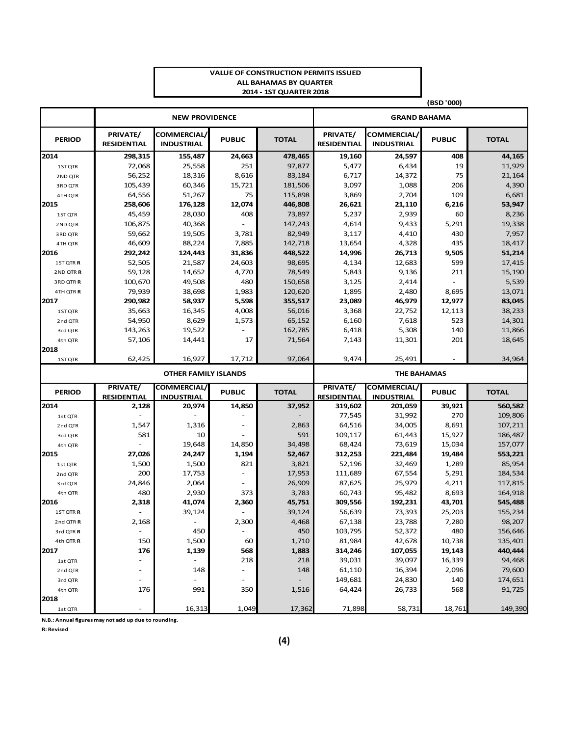#### **VALUE OF CONSTRUCTION PERMITS ISSUED ALL BAHAMAS BY QUARTER 2014 ‐ 1ST QUARTER 2018**

|                      |                                |                                  |                          |              |                                |                                         | (BSD '000)          |              |
|----------------------|--------------------------------|----------------------------------|--------------------------|--------------|--------------------------------|-----------------------------------------|---------------------|--------------|
|                      |                                | <b>NEW PROVIDENCE</b>            |                          |              |                                |                                         | <b>GRAND BAHAMA</b> |              |
| <b>PERIOD</b>        | PRIVATE/<br><b>RESIDENTIAL</b> | COMMERCIAL/<br><b>INDUSTRIAL</b> | <b>PUBLIC</b>            | <b>TOTAL</b> | PRIVATE/<br><b>RESIDENTIAL</b> | COMMERCIAL/<br><b>INDUSTRIAL</b>        | <b>PUBLIC</b>       | <b>TOTAL</b> |
| 2014                 | 298,315                        | 155,487                          | 24,663                   | 478,465      | 19,160                         | 24,597                                  | 408                 | 44,165       |
| 1ST QTR              | 72,068                         | 25,558                           | 251                      | 97,877       | 5,477                          | 6,434                                   | 19                  | 11,929       |
| 2 ND QTR             | 56,252                         | 18,316                           | 8,616                    | 83,184       | 6,717                          | 14,372                                  | 75                  | 21,164       |
| 3RD QTR              | 105,439                        | 60,346                           | 15,721                   | 181,506      | 3,097                          | 1,088                                   | 206                 | 4,390        |
| 4TH QTR              | 64,556                         | 51,267                           | 75                       | 115,898      | 3,869                          | 2,704                                   | 109                 | 6,681        |
| 2015                 | 258,606                        | 176,128                          | 12,074                   | 446,808      | 26,621                         | 21,110                                  | 6,216               | 53,947       |
| 1ST QTR              | 45,459                         | 28,030                           | 408                      | 73,897       | 5,237                          | 2,939                                   | 60                  | 8,236        |
| 2ND QTR              | 106,875                        | 40,368                           |                          | 147,243      | 4,614                          | 9,433                                   | 5,291               | 19,338       |
| 3RD QTR              | 59,662                         | 19,505                           | 3,781                    | 82,949       | 3,117                          | 4,410                                   | 430                 | 7,957        |
| 4TH QTR              | 46,609                         | 88,224                           | 7,885                    | 142,718      | 13,654                         | 4,328                                   | 435                 | 18,417       |
| 2016                 | 292,242                        | 124,443                          | 31,836                   | 448,522      | 14,996                         | 26,713                                  | 9,505               | 51,214       |
| 1ST QTR R            | 52,505                         | 21,587                           | 24,603                   | 98,695       | 4,134                          | 12,683                                  | 599                 | 17,415       |
| 2ND QTR R            | 59,128                         | 14,652                           | 4,770                    | 78,549       | 5,843                          | 9,136                                   | 211                 | 15,190       |
| 3RD QTR R            | 100,670                        | 49,508                           | 480                      | 150,658      | 3,125                          | 2,414                                   |                     | 5,539        |
| 4TH QTR R            | 79,939                         | 38,698                           | 1,983                    | 120,620      | 1,895                          | 2,480                                   | 8,695               | 13,071       |
| 2017                 | 290,982                        | 58,937                           | 5,598                    | 355,517      | 23,089                         | 46,979                                  | 12,977              | 83,045       |
| 1ST QTR              | 35,663                         | 16,345                           | 4,008                    | 56,016       | 3,368                          | 22,752                                  | 12,113              | 38,233       |
| 2nd QTR              | 54,950                         | 8,629                            | 1,573                    | 65,152       | 6,160                          | 7,618                                   | 523                 | 14,301       |
| 3rd QTR              | 143,263                        | 19,522                           |                          | 162,785      | 6,418                          | 5,308                                   | 140                 | 11,866       |
| 4th QTR              | 57,106                         | 14,441                           | 17                       | 71,564       | 7,143                          | 11,301                                  | 201                 | 18,645       |
| 2018                 |                                |                                  |                          |              |                                |                                         |                     |              |
| 1ST QTR              | 62,425                         | 16,927                           | 17,712                   | 97.064       | 9,474                          | 25,491                                  |                     | 34,964       |
|                      |                                | <b>OTHER FAMILY ISLANDS</b>      |                          |              |                                | <b>THE BAHAMAS</b>                      |                     |              |
| <b>PERIOD</b>        | PRIVATE/<br><b>RESIDENTIAL</b> | COMMERCIAL/<br><b>INDUSTRIAL</b> | <b>PUBLIC</b>            | <b>TOTAL</b> | PRIVATE/<br><b>RESIDENTIAL</b> | <b>COMMERCIAL/</b><br><b>INDUSTRIAL</b> | <b>PUBLIC</b>       | <b>TOTAL</b> |
| 2014                 | 2,128                          | 20,974                           | 14,850                   | 37,952       | 319,602                        | 201,059                                 | 39,921              | 560,582      |
| 1st QTR              |                                |                                  |                          |              | 77,545                         | 31,992                                  | 270                 | 109,806      |
| 2nd QTR              | 1,547                          | 1,316                            |                          | 2,863        | 64,516                         | 34,005                                  | 8,691               | 107,211      |
| 3rd QTR              | 581                            | 10                               |                          | 591          | 109,117                        | 61,443                                  | 15,927              | 186,487      |
| 4th QTR              |                                | 19,648                           | 14,850                   | 34,498       | 68,424                         | 73,619                                  | 15,034              | 157,077      |
| 2015                 | 27,026                         | 24,247                           | 1,194                    | 52,467       | 312,253                        | 221,484                                 | 19,484              | 553,221      |
| 1st QTR              | 1,500                          | 1,500                            | 821                      | 3,821        | 52,196                         | 32,469                                  | 1,289               | 85,954       |
| 2nd QTR              | 200                            | 17,753                           |                          | 17,953       | 111,689                        | 67,554                                  | 5,291               | 184,534      |
| 3rd QTR              | 24,846                         | 2,064                            |                          | 26,909       | 87,625                         | 25,979                                  | 4,211               | 117,815      |
| 4th QTR              | 480                            | 2,930                            | 373                      | 3,783        | 60,743                         | 95,482                                  | 8,693               | 164,918      |
| 2016                 | 2,318                          | 41,074                           | 2,360                    | 45,751       | 309,556                        | 192,231                                 | 43,701              | 545,488      |
| 1ST QTR R            |                                | 39,124                           |                          | 39,124       | 56,639                         | 73,393                                  | 25,203              | 155,234      |
| 2nd QTR <sub>R</sub> | 2,168                          |                                  | 2,300                    | 4,468        | 67,138                         | 23,788                                  | 7,280               | 98,207       |
| 3rd QTR R            |                                | 450                              |                          | 450          | 103,795                        | 52,372                                  | 480                 | 156,646      |
| 4th QTR R            | 150                            | 1,500                            | 60                       | 1,710        | 81,984                         | 42,678                                  | 10,738              | 135,401      |
| 2017                 | 176                            | 1,139                            | 568                      | 1,883        | 314,246                        | 107,055                                 | 19,143              | 440,444      |
| 1st QTR              | ÷.                             |                                  | 218                      | 218          | 39,031                         | 39,097                                  | 16,339              | 94,468       |
| 2nd QTR              |                                | 148                              | $\overline{\phantom{a}}$ | 148          | 61,110                         | 16,394                                  | 2,096               | 79,600       |
| 3rd QTR              |                                |                                  | $\overline{\phantom{a}}$ |              | 149,681                        | 24,830                                  | 140                 | 174,651      |
| 4th QTR              | 176                            | 991                              | 350                      | 1,516        | 64,424                         | 26,733                                  | 568                 | 91,725       |
| 2018                 |                                |                                  |                          |              |                                |                                         |                     |              |
| 1st QTR              |                                | 16,313                           | 1,049                    | 17,362       | 71,898                         | 58,731                                  | 18,761              | 149,390      |

**N.B.: Annual figures may not add up due to rounding.**

**R: Revised**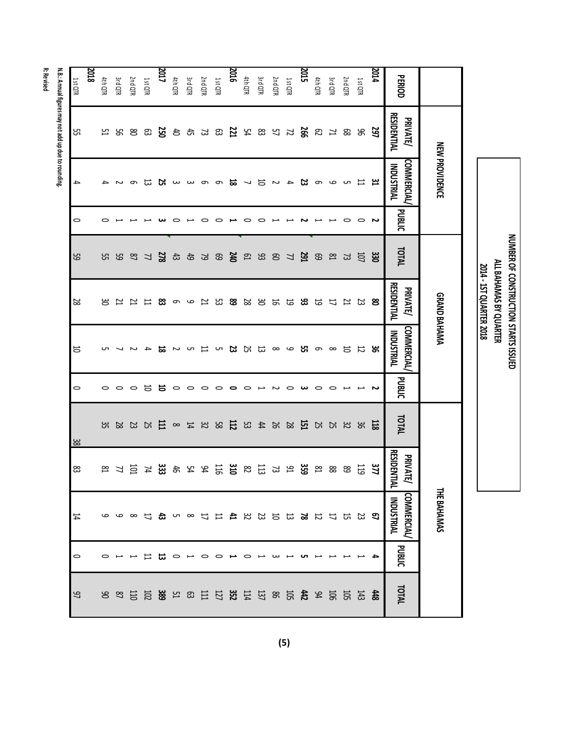|           | V. B.: Annua                                   |
|-----------|------------------------------------------------|
|           |                                                |
|           |                                                |
|           |                                                |
| n ac IA a |                                                |
|           |                                                |
|           |                                                |
|           |                                                |
|           | Ĭ                                              |
|           |                                                |
|           |                                                |
|           |                                                |
|           |                                                |
|           |                                                |
|           |                                                |
|           |                                                |
|           |                                                |
|           |                                                |
|           |                                                |
|           |                                                |
|           |                                                |
|           |                                                |
|           |                                                |
|           |                                                |
|           |                                                |
|           |                                                |
|           |                                                |
|           | y not add up due to roun<br>a <sub>l m</sub> e |
|           |                                                |
|           |                                                |
|           |                                                |

|                |                                | <b>NEW PROVIDENCE</b>                  |               |                 | GRAND BAHAMAA                       |                                 |                          |                             |                                  | <b>THE BAHAMAS</b>                     |                                  |                  |
|----------------|--------------------------------|----------------------------------------|---------------|-----------------|-------------------------------------|---------------------------------|--------------------------|-----------------------------|----------------------------------|----------------------------------------|----------------------------------|------------------|
| <b>PERIOD</b>  | <b>RESIDENTIAL</b><br>PRIVATE/ | <b>COMMERCIAL</b><br><b>INDUSTRIAL</b> | <b>PUBLIC</b> | TOTAL           | <b>RESIDENTIAL</b><br>PRIVATE/      | COMMERCIAL<br><b>INDUSTRIAL</b> | <b>PUBLIC</b>            | TOTAL                       | <b>RESIDENT</b><br>PRIVATE/<br>ᄛ | <b>COMMERCIAL</b><br><b>INDUSTRIAL</b> | <b>PUBLIC</b>                    | TOTAL            |
| <b>2014</b>    |                                |                                        | ັ             | ឌ្ណ             |                                     |                                 | ىم                       |                             | 37                               |                                        |                                  | $\frac{4}{3}$    |
| 1st QTR        | ន ន                            |                                        | $\circ$       | 10              |                                     |                                 |                          |                             | 5                                | ದಿ ಬಿ                                  |                                  | 143              |
| 2nd QTR        |                                |                                        | っ             | ដ               |                                     |                                 |                          |                             | 89                               |                                        |                                  | ទី               |
| 3rd QTR        | 82 R                           | <b>33 はらる名</b>                         |               | $\frac{8}{3}$   | 83 23 13 13 13 13 13 13 13 13 13 14 |                                 | $\circ$                  | $\frac{11}{28}$ 32 32 42 43 | 88 m                             |                                        |                                  | 50               |
| 4th QTR        |                                |                                        |               |                 |                                     |                                 | $\circ$                  |                             |                                  |                                        |                                  | 94               |
| 2015           |                                |                                        |               |                 |                                     |                                 | ယ                        |                             |                                  |                                        |                                  |                  |
| <b>1st QTR</b> |                                |                                        |               | ឌ <b>ឌ</b> ដ    |                                     |                                 | $\circ$                  |                             |                                  |                                        |                                  | <b>ま 怠</b>       |
| 2nd QTR        |                                |                                        |               |                 |                                     |                                 | $\sim$                   | <b>N</b> 2 2 3 3 2          | <b>ង</b> ឌ ឌ                     |                                        |                                  | $\frac{8}{2}$    |
| 3rd QTR        |                                |                                        | 0             | ខេ ឌ ឌ <b>ឌ</b> |                                     |                                 | $\overline{\phantom{a}}$ |                             |                                  |                                        |                                  |                  |
| 4th QTR        |                                |                                        | 0             |                 |                                     |                                 | $\circ$                  |                             | ដ ឌ                              |                                        | っ                                |                  |
| 910Z           |                                |                                        |               |                 |                                     |                                 | 0                        |                             | ដ                                |                                        |                                  | <b>5 7 8 2 5</b> |
| <b>1st QTR</b> |                                | 42 12 7 12 6633 12                     |               |                 |                                     |                                 | $\circ$                  |                             | 旨                                |                                        | ○                                |                  |
| 2nd QTR        |                                |                                        |               |                 |                                     |                                 | $\circ$                  |                             | ٩X<br>34                         |                                        | $\circ$                          | $\Xi$            |
| <b>3rd QTR</b> |                                |                                        |               |                 |                                     |                                 |                          |                             |                                  |                                        |                                  |                  |
| 4th QTR        |                                |                                        |               | 8533            | ၀ က တီး                             |                                 | $5^{\circ}$              |                             | <b>N 8 2 3 7</b>                 |                                        | $\circ$ $\overline{\phantom{0}}$ | ន ដ និ           |
| <b>Z017</b>    |                                |                                        |               | 278             |                                     |                                 |                          |                             |                                  |                                        | ದ                                |                  |
| <b>1st QTR</b> |                                | ದ                                      |               | 77              |                                     | $\rightarrow$                   | - 5                      |                             |                                  |                                        | 出                                | 102              |
| 2nd QTR        |                                | $\sigma$                               |               |                 |                                     |                                 | $\circ$                  |                             | 그 를                              |                                        |                                  | E                |
| 3rd QTR        | ង ន ន                          | Z                                      |               | <b>25 25 25</b> | ロロコ                                 |                                 | $\circ$                  | 83 33 42 8 52 53 53 53 53   |                                  |                                        |                                  | $^{22}$          |
| 4th QTR        | 업                              |                                        |               |                 | ട്ട                                 |                                 | $\circ$                  |                             | Σã                               |                                        | っ                                | ട                |
| 2018           |                                |                                        |               |                 |                                     |                                 |                          |                             |                                  |                                        |                                  |                  |
| <b>1st QTR</b> | ყ.                             | $\rightarrow$                          | $\circ$       | 59              | 28                                  | 5                               | $\circ$                  | 38                          | 83                               | $\sharp$                               | $\circ$                          | $\mathfrak{g}$   |

**NUMBEROF**

ጅ<br>፲

 **‐** 

**1STQUARTER**

**BAHAMAS**

**BY**

**QUARTER**

**CONSTRUCTION**

**STARTS**

**ISSUED**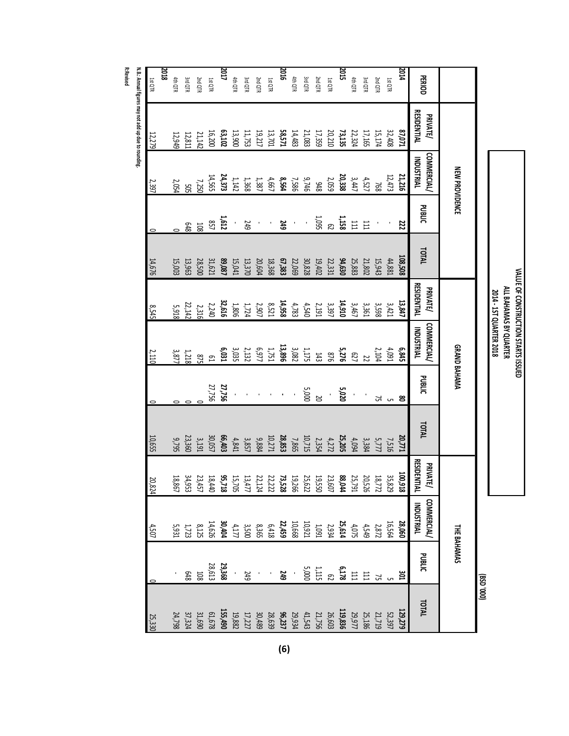|                |                                       | <b>NEW PROVIDENCE</b>            |                   |                  |                                |                                 | GRAND BAHAMA   |                   |                                |                                                                                                                                                                                                                                                                       | <b>THE BAHAMAS</b>                              |                         |
|----------------|---------------------------------------|----------------------------------|-------------------|------------------|--------------------------------|---------------------------------|----------------|-------------------|--------------------------------|-----------------------------------------------------------------------------------------------------------------------------------------------------------------------------------------------------------------------------------------------------------------------|-------------------------------------------------|-------------------------|
| <b>PERIOD</b>  | <b>RESIDENTIAL</b><br><b>PRIVATE/</b> | <b>COMMERCIAL/</b><br>INDUSTRIAL | <b>DIRENC</b>     | <b>TOTAL</b>     | <b>RESIDENTIAL</b><br>PRIVATE/ | <b>COMMERCIAL</b><br>INDUSTRIAL | <b>DIBELIC</b> | <b>TOTAL</b>      | <b>RESIDENTIAL</b><br>PRIVATE/ | <b>COMMERCIAL</b><br>INDUSTRIAL                                                                                                                                                                                                                                       | <b>PUBLIC</b>                                   | TOTAL                   |
| 2014           | <b>ELO'18</b>                         | 21,216                           | 22                | 108,508          | 13,847                         | 6,845                           | g              | 20,771            | ē,<br>$^{218}$                 | 28,060                                                                                                                                                                                                                                                                |                                                 | ដ                       |
| <b>1st QTR</b> | 32,408                                | 12,473                           |                   | 44,881           | 3,421                          | 4,091                           |                | 7,516             |                                |                                                                                                                                                                                                                                                                       |                                                 |                         |
| 2nd QTR        | 15,174                                | 768                              |                   | 15,943           | 3,598                          | 2,104                           | 51             | 5,777             |                                |                                                                                                                                                                                                                                                                       | <b>30.</b><br>ស                                 |                         |
| 3rd QTR        | 17,165                                |                                  | E                 | 21,802           | 3,361                          |                                 |                | 3,384             |                                |                                                                                                                                                                                                                                                                       |                                                 |                         |
| 4th QTR        | 22,324                                | $4,527$<br>3, 447                | $\Xi$             | 25,883           | 3,467                          |                                 |                |                   |                                |                                                                                                                                                                                                                                                                       |                                                 |                         |
| 2015           | 73,135                                | 20,338                           |                   |                  | 14,910                         | $\frac{22}{5,276}$              | 5,020          | $4,094$<br>25,205 |                                |                                                                                                                                                                                                                                                                       |                                                 |                         |
| <b>1st QTR</b> | 20,210                                | 2,059                            | $\frac{1158}{62}$ | 94,630<br>22,331 | 3,397                          | 918                             |                | $4,272$<br>2,354  |                                |                                                                                                                                                                                                                                                                       |                                                 |                         |
| 2nd QTR        | 17,359                                | 8t6                              |                   | 19,402           | 2,191                          | 143                             | ន<br>ខ         |                   |                                |                                                                                                                                                                                                                                                                       |                                                 |                         |
| <b>3rd QTR</b> | 21,083                                | 9,746                            |                   | 30,828           | 4,540                          | $1,175$                         | 5,000          | 10,715            |                                |                                                                                                                                                                                                                                                                       |                                                 |                         |
| 4th QTR        | 14,483                                | 7,586                            |                   | 22,069           | 4,783                          | 3,082                           |                | 7,865             |                                |                                                                                                                                                                                                                                                                       |                                                 |                         |
| 910Z           | 58,571                                | 8,564                            | 249               | 67,383           | 14,958                         | 13,896                          |                | 28,853            |                                |                                                                                                                                                                                                                                                                       |                                                 |                         |
| <b>1st QTR</b> | 13,701                                | 4,667                            |                   | 18,368           | $8,521$<br>2,907               | $1,751$                         |                | 10,271            |                                |                                                                                                                                                                                                                                                                       |                                                 |                         |
| 2nd QTR        | 19,217                                | 1,387                            |                   | 20,604           |                                | LL6'9                           |                | 9,884             |                                |                                                                                                                                                                                                                                                                       |                                                 |                         |
| <b>3rd QTR</b> | 11,753                                | 1,368                            | 249               | 13,370           | 1,724                          | 2,132                           |                | 3,857             |                                |                                                                                                                                                                                                                                                                       |                                                 |                         |
| 4th QTR        | 13,900                                | 1,142                            |                   | 15,041           | $1,806$                        | 3,035                           |                | 4,841             |                                |                                                                                                                                                                                                                                                                       |                                                 |                         |
| 2017           | 63,102                                | 24,373                           | 1,612             | 89,087           | 32,616                         | 6,031                           | 27,756         | 66,403            |                                | $\begin{array}{l} 16\,26 \\ 2\,3\,27 \\ 3\,4\,3\,4\,9 \\ 2\,4\,3\,4\,9 \\ 3\,4\,3\,4\,9 \\ 4\,4\,10 \\ 5\,4\,3\,4\,9 \\ 6\,4\,3\,4\,9 \\ 7\,1\,2\,4\,9 \\ 8\,4\,3\,6\,9 \\ 1\,2\,4\,4\,9 \\ 1\,2\,4\,4\,9 \\ 1\,2\,4\,4\,9 \\ 1\,2\,4\,4\,9 \\ 1\,2\,4\,4\,9 \\ 1\,2$ | $\frac{29,366}{28,613}$<br>$\frac{28,613}{208}$ | 52152996244298895195533 |
| 1st QTR        | 16,200                                | 14,565                           | 857               | 31,621           | 2,240                          | ី<br>ខ                          | 27,756         | 30,057            |                                |                                                                                                                                                                                                                                                                       |                                                 |                         |
| 2nd QTR        | 21,142                                |                                  | 50G               | 28,500           | 2,316                          | $^{27}$                         |                | 3,191             |                                |                                                                                                                                                                                                                                                                       |                                                 |                         |
| <b>3rd QTR</b> | 12,811                                | 7,250<br>505                     | 848               | 13,963           | 22,142                         | $1,218$<br>3,877                |                | 23,360            |                                |                                                                                                                                                                                                                                                                       |                                                 |                         |
| 4th QTR        | 12,949                                | 2,054                            |                   | 15,003           | 5,918                          |                                 |                | 9,795             | $18$                           |                                                                                                                                                                                                                                                                       |                                                 |                         |
| 2018           |                                       |                                  |                   |                  |                                |                                 |                |                   |                                |                                                                                                                                                                                                                                                                       |                                                 |                         |

**N.B.: Annual figures may not add up due to rounding. R:Revised**

1st QTR

12,279

2,397

 $\overline{\phantom{0}}$ 

14,676

8,545

2,110

 $\overline{\phantom{0}}$ 

10,655

20,824

4,507

0

25,330

**(6)**

29,934 **96,237**

28,639 30,489 17,227

19,882

**155,490**

61,678

31,690

37,324

24,798

**129,279**

**VALUE OF**

**ALL**

**BAHAMAS BY QUARTER**

**2014 ‐ 1ST**

**QUARTER**

**2018**

**(BSD '000)** **CONSTRUCTION**

**STARTS**

**ISSUED**

52,397

21,719 25,186 29,977

**119,836**<br>26,603<br>41,543<br>41,543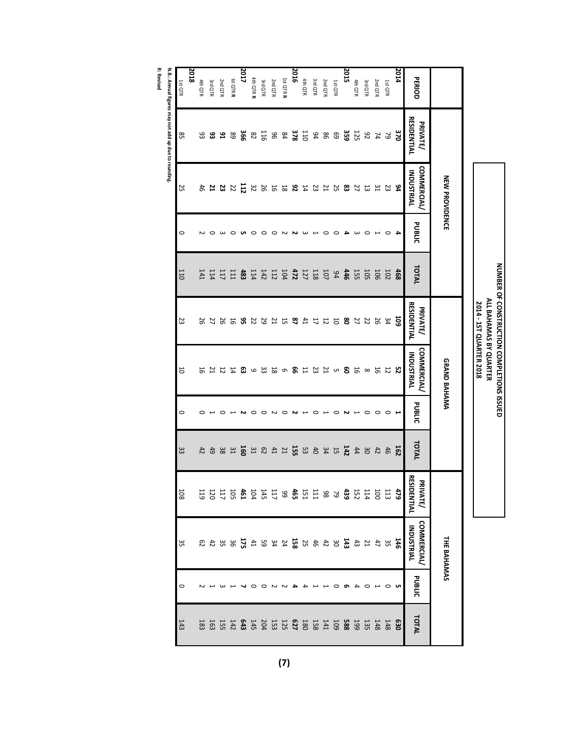|                                |                       | PERIOD                                  | 2014 | 1st QTR         | 2nd QTR                                 | 3rd QTR | 4th QTR           | 2015 | 1st QTR                                                   | 2nd QTR | 3rd QTR | 4th QTR | 2016 | 1st QTR R | 2nd QTR | 3rd QTR | 4th QTR R | 2017            | Ist QTR R | 2nd QTR | 3rd QTR                    | 4th OTR |
|--------------------------------|-----------------------|-----------------------------------------|------|-----------------|-----------------------------------------|---------|-------------------|------|-----------------------------------------------------------|---------|---------|---------|------|-----------|---------|---------|-----------|-----------------|-----------|---------|----------------------------|---------|
|                                |                       | <b>RESIDENTIAL</b><br>PRIVATE/          | 370  | <b>79</b><br>74 |                                         | 82      | $\frac{125}{359}$ |      | 69                                                        |         | 31588   |         |      | 28.758    |         |         |           |                 |           |         | <b>ខេ ឌ ឌ</b> ឌ            |         |
|                                | <b>NEW PROVIDENCE</b> | <b>COMMERCIAL</b><br><b>INDUSTRIAL</b>  | 94   | 23              | 51                                      | 13      | 77                |      | <b>83537334255533</b>                                     |         |         |         |      |           |         |         |           | $\overline{11}$ |           |         | <b>2224</b>                |         |
|                                |                       | PUBLIC                                  | 4    |                 |                                         |         |                   |      | $\circ$                                                   | 0       |         | ω       |      | N         | っ       |         |           |                 |           |         |                            |         |
|                                |                       | TOTAL                                   | 468  | 102             | 106                                     | 105     | 15<br>44          |      | b4                                                        | 101     |         |         |      |           |         |         |           | 483             | 111       | 117     | 114                        | I41     |
| <b>2014 - IST QUARTER 2018</b> |                       | <b>RESIDENTIAL</b><br><b>PRIVATE/</b>   | ទូ   |                 |                                         |         |                   |      |                                                           |         |         |         |      |           |         |         |           |                 |           |         |                            |         |
|                                | GRAND BAHAMA          | <b>COMMERCIAL/</b><br><b>INDUSTRIAL</b> | Σç   |                 | $\begin{array}{c} 12 \\ 26 \end{array}$ |         |                   |      | 198593131869339834                                        |         |         |         |      |           |         |         |           |                 |           |         | 172                        |         |
|                                |                       | PUBLIC                                  | د    | $\circ$         | $\circ$                                 | 0       |                   | N    | $\circ$                                                   |         | 0       |         | N    | $\circ$   | $\sim$  | っ       |           |                 |           |         |                            | 0       |
|                                |                       | TOTAL                                   | 162  |                 | 35833                                   |         |                   |      | $\frac{1}{3}$ 5 3 3 5 3 $\frac{1}{6}$ 5 5 3 $\frac{1}{6}$ |         |         |         |      |           |         |         |           | 160             |           |         | 3 3 9 4 4                  |         |
|                                |                       | <b>RESIDENTIAL</b><br><b>RIVATE/</b>    |      |                 |                                         |         |                   |      |                                                           |         |         |         |      |           |         |         |           |                 |           |         | 22.33328833333333333333333 |         |
|                                | THE BAHAMAS           | <b>COMMERCIAL/</b><br><b>INDUSTRIAL</b> |      |                 |                                         |         |                   |      |                                                           |         |         |         |      |           |         |         |           |                 |           |         |                            |         |
|                                |                       | PUBLIC                                  | cл   |                 |                                         |         |                   |      |                                                           |         |         |         |      |           |         |         |           |                 |           |         |                            |         |
|                                |                       | TOTAL                                   |      |                 |                                         |         |                   |      |                                                           |         |         |         |      |           |         |         |           |                 |           |         |                            |         |

**NUMBER**

**OF**

**ALL**

**BAHAMAS**

**BY**

**QUARTER**

**CONSTRUCTION**

**COMPLETIONS**

**ISSUED**

**N.B.: Annual figures may not add up due to rounding.**

**R: Revised**

ն<br>5

 $\circ$ 

ಜ

 $\circ$ 

 $^{\rm \omega}_{\rm \omega}$ 

.<br>თ

 $\circ$ 

4th QTR

 1st QTR

 $\frac{4}{3}$ 

**(7)**